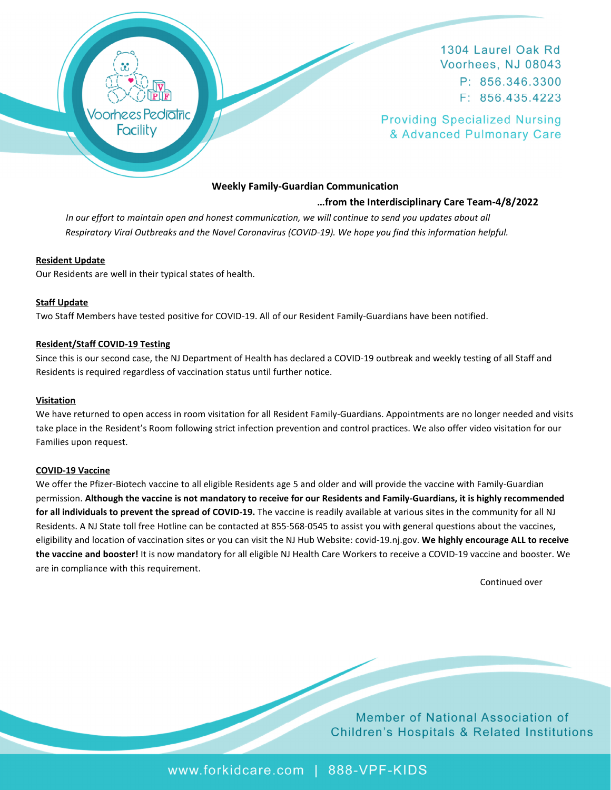

1304 Laurel Oak Rd Voorhees, NJ 08043 P: 856.346.3300  $F: 856.435.4223$ 

**Providing Specialized Nursing** & Advanced Pulmonary Care

# **Weekly Family-Guardian Communication**

## **…from the Interdisciplinary Care Team-4/8/2022**

In our effort to maintain open and honest communication, we will continue to send you updates about all  *Respiratory Viral Outbreaks and the Novel Coronavirus (COVID-19). We hope you find this information helpful.* 

## **Resident Update**

Our Residents are well in their typical states of health.

## **Staff Update**

Two Staff Members have tested positive for COVID-19. All of our Resident Family-Guardians have been notified.

## **Resident/Staff COVID-19 Testing**

Since this is our second case, the NJ Department of Health has declared a COVID-19 outbreak and weekly testing of all Staff and Residents is required regardless of vaccination status until further notice.

#### **Visitation**

We have returned to open access in room visitation for all Resident Family-Guardians. Appointments are no longer needed and visits take place in the Resident's Room following strict infection prevention and control practices. We also offer video visitation for our Families upon request.

#### **COVID-19 Vaccine**

We offer the Pfizer-Biotech vaccine to all eligible Residents age 5 and older and will provide the vaccine with Family-Guardian permission. **Although the vaccine is not mandatory to receive for our Residents and Family-Guardians, it is highly recommended for all individuals to prevent the spread of COVID-19.** The vaccine is readily available at various sites in the community for all NJ Residents. A NJ State toll free Hotline can be contacted at 855-568-0545 to assist you with general questions about the vaccines, eligibility and location of vaccination sites or you can visit the NJ Hub Website: covid-19.nj.gov. **We highly encourage ALL to receive the vaccine and booster!** It is now mandatory for all eligible NJ Health Care Workers to receive a COVID-19 vaccine and booster. We are in compliance with this requirement.

Continued over

**Member of National Association of Children's Hospitals & Related Institutions** 

www.forkidcare.com | 888-VPF-KIDS